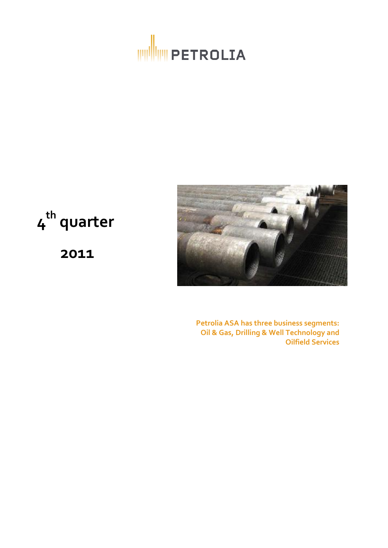



**4 th quarter**

**2011**

**Petrolia ASA has three business segments: Oil & Gas, Drilling & Well Technology and Oilfield Services**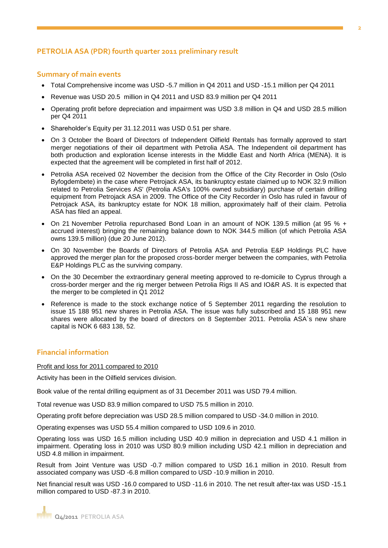## **PETROLIA ASA (PDR) fourth quarter 2011 preliminary result**

## **Summary of main events**

- Total Comprehensive income was USD -5.7 million in Q4 2011 and USD -15.1 million per Q4 2011
- Revenue was USD 20.5 million in Q4 2011 and USD 83.9 million per Q4 2011
- Operating profit before depreciation and impairment was USD 3.8 million in Q4 and USD 28.5 million per Q4 2011
- Shareholder's Equity per 31.12.2011 was USD 0.51 per share.
- On 3 October the Board of Directors of Independent Oilfield Rentals has formally approved to start merger negotiations of their oil department with Petrolia ASA. The Independent oil department has both production and exploration license interests in the Middle East and North Africa (MENA). It is expected that the agreement will be completed in first half of 2012.
- Petrolia ASA received 02 November the decision from the Office of the City Recorder in Oslo (Oslo Byfogdembete) in the case where Petrojack ASA, its bankruptcy estate claimed up to NOK 32.9 million related to Petrolia Services AS' (Petrolia ASA's 100% owned subsidiary) purchase of certain drilling equipment from Petrojack ASA in 2009. The Office of the City Recorder in Oslo has ruled in favour of Petrojack ASA, its bankruptcy estate for NOK 18 million, approximately half of their claim. Petrolia ASA has filed an appeal.
- On 21 November Petrolia repurchased Bond Loan in an amount of NOK 139.5 million (at 95 % + accrued interest) bringing the remaining balance down to NOK 344.5 million (of which Petrolia ASA owns 139.5 million) (due 20 June 2012).
- On 30 November the Boards of Directors of Petrolia ASA and Petrolia E&P Holdings PLC have approved the merger plan for the proposed cross-border merger between the companies, with Petrolia E&P Holdings PLC as the surviving company.
- On the 30 December the extraordinary general meeting approved to re-domicile to Cyprus through a cross-border merger and the rig merger between Petrolia Rigs II AS and IO&R AS. It is expected that the merger to be completed in Q1 2012
- Reference is made to the stock exchange notice of 5 September 2011 regarding the resolution to issue 15 188 951 new shares in Petrolia ASA. The issue was fully subscribed and 15 188 951 new shares were allocated by the board of directors on 8 September 2011. Petrolia ASA`s new share capital is NOK 6 683 138, 52.

## **Financial information**

Profit and loss for 2011 compared to 2010

Activity has been in the Oilfield services division.

Book value of the rental drilling equipment as of 31 December 2011 was USD 79.4 million.

Total revenue was USD 83.9 million compared to USD 75.5 million in 2010.

Operating profit before depreciation was USD 28.5 million compared to USD -34.0 million in 2010.

Operating expenses was USD 55.4 million compared to USD 109.6 in 2010.

Operating loss was USD 16.5 million including USD 40.9 million in depreciation and USD 4.1 million in impairment. Operating loss in 2010 was USD 80.9 million including USD 42.1 million in depreciation and USD 4.8 million in impairment.

Result from Joint Venture was USD -0.7 million compared to USD 16.1 million in 2010. Result from associated company was USD -6.8 million compared to USD -10.9 million in 2010.

Net financial result was USD -16.0 compared to USD -11.6 in 2010. The net result after-tax was USD -15.1 million compared to USD -87.3 in 2010.

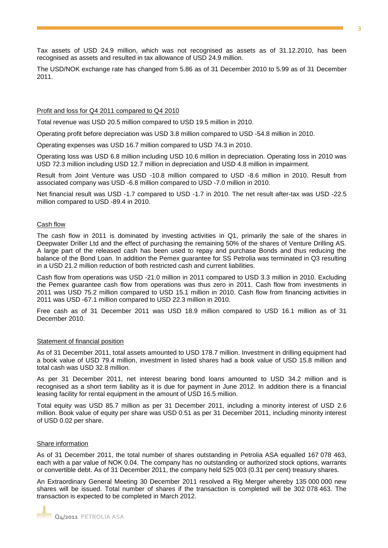Tax assets of USD 24.9 million, which was not recognised as assets as of 31.12.2010, has been recognised as assets and resulted in tax allowance of USD 24.9 million.

The USD/NOK exchange rate has changed from 5.86 as of 31 December 2010 to 5.99 as of 31 December 2011.

#### Profit and loss for Q4 2011 compared to Q4 2010

Total revenue was USD 20.5 million compared to USD 19.5 million in 2010.

Operating profit before depreciation was USD 3.8 million compared to USD -54.8 million in 2010.

Operating expenses was USD 16.7 million compared to USD 74.3 in 2010.

Operating loss was USD 6.8 million including USD 10.6 million in depreciation. Operating loss in 2010 was USD 72.3 million including USD 12.7 million in depreciation and USD 4.8 million in impairment.

Result from Joint Venture was USD -10.8 million compared to USD -8.6 million in 2010. Result from associated company was USD -6.8 million compared to USD -7.0 million in 2010.

Net financial result was USD -1.7 compared to USD -1.7 in 2010. The net result after-tax was USD -22.5 million compared to USD -89.4 in 2010.

### Cash flow

The cash flow in 2011 is dominated by investing activities in Q1, primarily the sale of the shares in Deepwater Driller Ltd and the effect of purchasing the remaining 50% of the shares of Venture Drilling AS. A large part of the released cash has been used to repay and purchase Bonds and thus reducing the balance of the Bond Loan. In addition the Pemex guarantee for SS Petrolia was terminated in Q3 resulting in a USD 21.2 million reduction of both restricted cash and current liabilities.

Cash flow from operations was USD -21.0 million in 2011 compared to USD 3.3 million in 2010. Excluding the Pemex guarantee cash flow from operations was thus zero in 2011. Cash flow from investments in 2011 was USD 75.2 million compared to USD 15.1 million in 2010. Cash flow from financing activities in 2011 was USD -67.1 million compared to USD 22.3 million in 2010.

Free cash as of 31 December 2011 was USD 18.9 million compared to USD 16.1 million as of 31 December 2010.

#### Statement of financial position

As of 31 December 2011, total assets amounted to USD 178.7 million. Investment in drilling equipment had a book value of USD 79.4 million, investment in listed shares had a book value of USD 15.8 million and total cash was USD 32.8 million.

As per 31 December 2011, net interest bearing bond loans amounted to USD 34.2 million and is recognised as a short term liability as it is due for payment in June 2012. In addition there is a financial leasing facility for rental equipment in the amount of USD 16.5 million.

Total equity was USD 85.7 million as per 31 December 2011, including a minority interest of USD 2.6 million. Book value of equity per share was USD 0.51 as per 31 December 2011, including minority interest of USD 0.02 per share**.** 

#### Share information

As of 31 December 2011, the total number of shares outstanding in Petrolia ASA equalled 167 078 463, each with a par value of NOK 0.04. The company has no outstanding or authorized stock options, warrants or convertible debt. As of 31 December 2011, the company held 525 003 (0.31 per cent) treasury shares.

An Extraordinary General Meeting 30 December 2011 resolved a Rig Merger whereby 135 000 000 new shares will be issued. Total number of shares if the transaction is completed will be 302 078 463. The transaction is expected to be completed in March 2012.

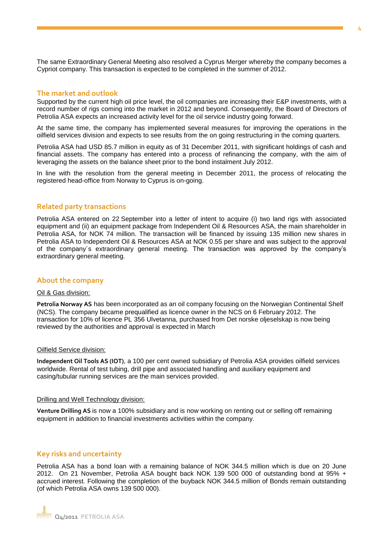The same Extraordinary General Meeting also resolved a Cyprus Merger whereby the company becomes a Cypriot company. This transaction is expected to be completed in the summer of 2012.

### **The market and outlook**

Supported by the current high oil price level, the oil companies are increasing their E&P investments, with a record number of rigs coming into the market in 2012 and beyond. Consequently, the Board of Directors of Petrolia ASA expects an increased activity level for the oil service industry going forward.

At the same time, the company has implemented several measures for improving the operations in the oilfield services division and expects to see results from the on going restructuring in the coming quarters.

Petrolia ASA had USD 85.7 million in equity as of 31 December 2011, with significant holdings of cash and financial assets. The company has entered into a process of refinancing the company, with the aim of leveraging the assets on the balance sheet prior to the bond instalment July 2012.

In line with the resolution from the general meeting in December 2011, the process of relocating the registered head-office from Norway to Cyprus is on-going.

## **Related party transactions**

Petrolia ASA entered on 22 September into a letter of intent to acquire (i) two land rigs with associated equipment and (ii) an equipment package from Independent Oil & Resources ASA, the main shareholder in Petrolia ASA, for NOK 74 million. The transaction will be financed by issuing 135 million new shares in Petrolia ASA to Independent Oil & Resources ASA at NOK 0.55 per share and was subject to the approval of the company´s extraordinary general meeting. The transaction was approved by the company's extraordinary general meeting.

## **About the company**

### Oil & Gas division:

**Petrolia Norway AS** has been incorporated as an oil company focusing on the Norwegian Continental Shelf (NCS). The company became prequalified as licence owner in the NCS on 6 February 2012. The transaction for 10% of licence PL 356 Ulvetanna, purchased from Det norske oljeselskap is now being reviewed by the authorities and approval is expected in March

#### Oilfield Service division:

**Independent Oil Tools AS (IOT)**, a 100 per cent owned subsidiary of Petrolia ASA provides oilfield services worldwide. Rental of test tubing, drill pipe and associated handling and auxiliary equipment and casing/tubular running services are the main services provided.

#### Drilling and Well Technology division:

**Venture Drilling AS** is now a 100% subsidiary and is now working on renting out or selling off remaining equipment in addition to financial investments activities within the company.

## **Key risks and uncertainty**

Petrolia ASA has a bond loan with a remaining balance of NOK 344.5 million which is due on 20 June 2012. On 21 November, Petrolia ASA bought back NOK 139 500 000 of outstanding bond at 95% + accrued interest. Following the completion of the buyback NOK 344.5 million of Bonds remain outstanding (of which Petrolia ASA owns 139 500 000).

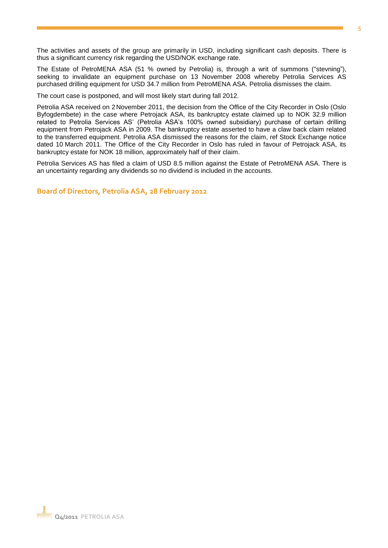The activities and assets of the group are primarily in USD, including significant cash deposits. There is thus a significant currency risk regarding the USD/NOK exchange rate.

The Estate of PetroMENA ASA (51 % owned by Petrolia) is, through a writ of summons ("stevning"), seeking to invalidate an equipment purchase on 13 November 2008 whereby Petrolia Services AS purchased drilling equipment for USD 34.7 million from PetroMENA ASA. Petrolia dismisses the claim.

The court case is postponed, and will most likely start during fall 2012.

Petrolia ASA received on 2 November 2011, the decision from the Office of the City Recorder in Oslo (Oslo Byfogdembete) in the case where Petrojack ASA, its bankruptcy estate claimed up to NOK 32.9 million related to Petrolia Services AS' (Petrolia ASA's 100% owned subsidiary) purchase of certain drilling equipment from Petrojack ASA in 2009. The bankruptcy estate asserted to have a claw back claim related to the transferred equipment. Petrolia ASA dismissed the reasons for the claim, ref Stock Exchange notice dated 10 March 2011. The Office of the City Recorder in Oslo has ruled in favour of Petrojack ASA, its bankruptcy estate for NOK 18 million, approximately half of their claim.

Petrolia Services AS has filed a claim of USD 8.5 million against the Estate of PetroMENA ASA. There is an uncertainty regarding any dividends so no dividend is included in the accounts.

**Board of Directors, Petrolia ASA, 28 February 2012**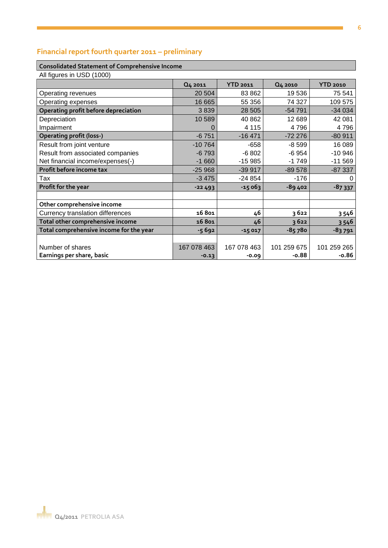#### **6**

## **Financial report fourth quarter 2011 – preliminary**

## **Consolidated Statement of Comprehensive Income**

| All figures in USD (1000)               |          |                 |          |                 |
|-----------------------------------------|----------|-----------------|----------|-----------------|
|                                         | Q4 2011  | <b>YTD 2011</b> | Q4 2010  | <b>YTD 2010</b> |
| Operating revenues                      | 20 504   | 83 862          | 19536    | 75 541          |
| Operating expenses                      | 16 665   | 55 356          | 74 327   | 109 575         |
| Operating profit before depreciation    | 3839     | 28 505          | $-54791$ | $-34034$        |
| Depreciation                            | 10589    | 40 862          | 12 689   | 42 081          |
| Impairment                              |          | 4 1 1 5         | 4796     | 4796            |
| <b>Operating profit (loss-)</b>         | $-6751$  | $-16471$        | $-72276$ | $-80911$        |
| Result from joint venture               | $-10764$ | -658            | $-8599$  | 16 089          |
| Result from associated companies        | $-6793$  | $-6802$         | $-6954$  | $-10946$        |
| Net financial income/expenses(-)        | $-1660$  | $-15985$        | $-1749$  | $-11569$        |
| Profit before income tax                | $-25968$ | $-39917$        | $-89578$ | $-87337$        |
| Tax                                     | $-3475$  | $-24854$        | $-176$   | C               |
| Profit for the year                     | $-22493$ | $-15063$        | -89 402  | $-87337$        |
|                                         |          |                 |          |                 |
| Other comprehensive income              |          |                 |          |                 |
| <b>Currency translation differences</b> | 16801    | 46              | 3622     | 3 5 4 6         |
|                                         |          |                 |          |                 |

**Total other comprehensive income**<br> **16 801 46 3 622 3 546**<br> **16 801 46 3 622 3 546**<br> **16 801 46 3 622 3 546**<br> **15 017 18 791 Total comprehensive income for the year 15 692 -15 017** Number of shares 167 078 463 167 078 463 167 078 463 Earnings per share, basic 167 078 463 101 259 265 Earnings **Earnings per share, basic -0.13 -0.09 -0.88 -0.86**

**Q4/2011 PETROLIA ASA**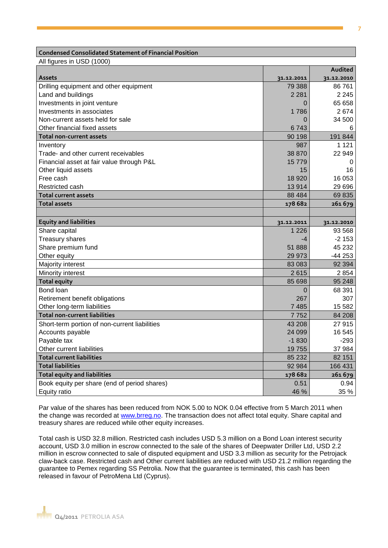#### **Condensed Consolidated Statement of Financial Position**

All figures in USD (1000)

|                                               |            | Audited    |
|-----------------------------------------------|------------|------------|
| <b>Assets</b>                                 | 31.12.2011 | 31.12.2010 |
| Drilling equipment and other equipment        | 79 388     | 86 761     |
| Land and buildings                            | 2 2 8 1    | 2 2 4 5    |
| Investments in joint venture                  | 0          | 65 658     |
| Investments in associates                     | 1786       | 2674       |
| Non-current assets held for sale              | 0          | 34 500     |
| Other financial fixed assets                  | 6743       | 6          |
| <b>Total non-current assets</b>               | 90 198     | 191 844    |
| Inventory                                     | 987        | 1 1 2 1    |
| Trade- and other current receivables          | 38 870     | 22 949     |
| Financial asset at fair value through P&L     | 15 7 7 9   | 0          |
| Other liquid assets                           | 15         | 16         |
| Free cash                                     | 18 9 20    | 16 053     |
| Restricted cash                               | 13914      | 29 69 6    |
| <b>Total current assets</b>                   | 88 4 84    | 69835      |
| <b>Total assets</b>                           | 178 682    | 261679     |
|                                               |            |            |
| <b>Equity and liabilities</b>                 | 31.12.2011 | 31.12.2010 |
| Share capital                                 | 1 2 2 6    | 93 568     |
| Treasury shares                               | -4         | $-2153$    |
| Share premium fund                            | 51888      | 45 232     |
| Other equity                                  | 29 973     | $-44253$   |
| Majority interest                             | 83 083     | 92 3 94    |
| Minority interest                             | 2615       | 2 8 5 4    |
| <b>Total equity</b>                           | 85 698     | 95 248     |
| Bond loan                                     | 0          | 68 391     |
| Retirement benefit obligations                | 267        | 307        |
| Other long-term liabilities                   | 7485       | 15 5 82    |
| <b>Total non-current liabilities</b>          | 7752       | 84 208     |
| Short-term portion of non-current liabilities | 43 208     | 27 915     |
| Accounts payable                              | 24 099     | 16 545     |
| Payable tax                                   | $-1830$    | $-293$     |
| Other current liabilities                     | 19755      | 37 984     |
| <b>Total current liabilities</b>              | 85 232     | 82 151     |
| <b>Total liabilities</b>                      | 92 984     | 166 431    |
| <b>Total equity and liabilities</b>           | 178 682    | 261679     |
| Book equity per share (end of period shares)  | 0.51       | 0.94       |
| <b>Equity ratio</b>                           | 46 %       | 35 %       |

Par value of the shares has been reduced from NOK 5.00 to NOK 0.04 effective from 5 March 2011 when the change was recorded at [www.brreg.no.](http://www.brreg.no/) The transaction does not affect total equity. Share capital and treasury shares are reduced while other equity increases.

Total cash is USD 32.8 million. Restricted cash includes USD 5.3 million on a Bond Loan interest security account, USD 3.0 million in escrow connected to the sale of the shares of Deepwater Driller Ltd, USD 2.2 million in escrow connected to sale of disputed equipment and USD 3.3 million as security for the Petrojack claw-back case. Restricted cash and Other current liabilities are reduced with USD 21.2 million regarding the guarantee to Pemex regarding SS Petrolia. Now that the guarantee is terminated, this cash has been released in favour of PetroMena Ltd (Cyprus).

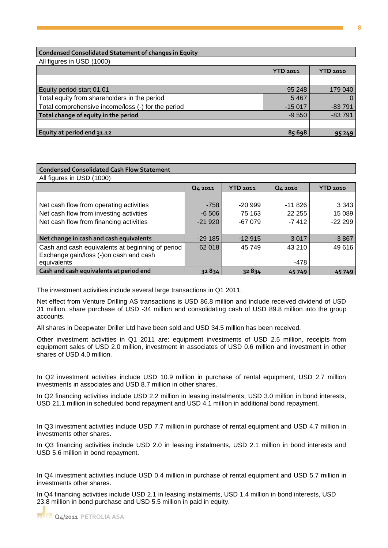### **Condensed Consolidated Statement of changes in Equity**

All figures in USD (1000)

|                                                    | <b>YTD 2011</b> | <b>YTD 2010</b> |
|----------------------------------------------------|-----------------|-----------------|
|                                                    |                 |                 |
| Equity period start 01.01                          | 95 248          | 179 040         |
| Total equity from shareholders in the period       | 5467            | $\Omega$        |
| Total comprehensive income/loss (-) for the period | $-15017$        | $-83791$        |
| Total change of equity in the period               | $-9550$         | $-83791$        |
|                                                    |                 |                 |
| Equity at period end 31.12                         | 85 698          | 95 249          |

| <b>Condensed Consolidated Cash Flow Statement</b> |          |                 |           |                 |
|---------------------------------------------------|----------|-----------------|-----------|-----------------|
| All figures in USD (1000)                         |          |                 |           |                 |
|                                                   | Q4 2011  | <b>YTD 2011</b> | Q4 2010   | <b>YTD 2010</b> |
|                                                   |          |                 |           |                 |
| Net cash flow from operating activities           | $-758$   | $-20.999$       | $-11.826$ | 3 3 4 3         |
| Net cash flow from investing activities           | $-6,506$ | 75 163          | 22 255    | 15 089          |
| Net cash flow from financing activities           | $-21920$ | $-67079$        | $-7412$   | $-22299$        |
|                                                   |          |                 |           |                 |
| Net change in cash and cash equivalents           | $-29185$ | $-12915$        | 3 0 1 7   | $-3867$         |
| Cash and cash equivalents at beginning of period  | 62 018   | 45 749          | 43 210    | 49 616          |
| Exchange gain/loss (-)on cash and cash            |          |                 |           |                 |
| equivalents                                       |          |                 | -478      |                 |
| Cash and cash equivalents at period end           | 32834    | 32834           | 45749     | 45749           |

The investment activities include several large transactions in Q1 2011.

Net effect from Venture Drilling AS transactions is USD 86.8 million and include received dividend of USD 31 million, share purchase of USD -34 million and consolidating cash of USD 89.8 million into the group accounts.

All shares in Deepwater Driller Ltd have been sold and USD 34.5 million has been received.

Other investment activities in Q1 2011 are: equipment investments of USD 2.5 million, receipts from equipment sales of USD 2.0 million, investment in associates of USD 0.6 million and investment in other shares of USD 4.0 million.

In Q2 investment activities include USD 10.9 million in purchase of rental equipment, USD 2.7 million investments in associates and USD 8.7 million in other shares.

In Q2 financing activities include USD 2.2 million in leasing instalments, USD 3.0 million in bond interests, USD 21.1 million in scheduled bond repayment and USD 4.1 million in additional bond repayment.

In Q3 investment activities include USD 7.7 million in purchase of rental equipment and USD 4.7 million in investments other shares.

In Q3 financing activities include USD 2.0 in leasing instalments, USD 2.1 million in bond interests and USD 5.6 million in bond repayment.

In Q4 investment activities include USD 0.4 million in purchase of rental equipment and USD 5.7 million in investments other shares.

In Q4 financing activities include USD 2.1 in leasing instalments, USD 1.4 million in bond interests, USD 23.8 million in bond purchase and USD 5.5 million in paid in equity.

**8**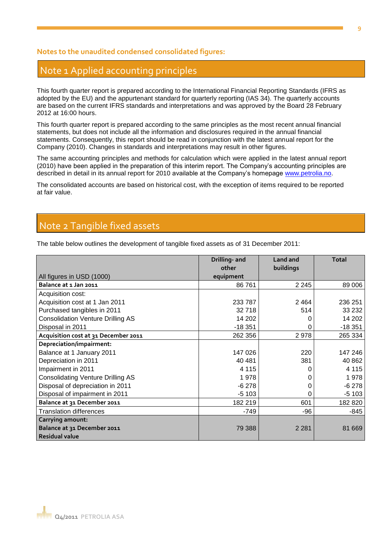## **Notes to the unaudited condensed consolidated figures:**

## Note 1 Applied accounting principles

This fourth quarter report is prepared according to the International Financial Reporting Standards (IFRS as adopted by the EU) and the appurtenant standard for quarterly reporting (IAS 34). The quarterly accounts are based on the current IFRS standards and interpretations and was approved by the Board 28 February 2012 at 16:00 hours.

This fourth quarter report is prepared according to the same principles as the most recent annual financial statements, but does not include all the information and disclosures required in the annual financial statements. Consequently, this report should be read in conjunction with the latest annual report for the Company (2010). Changes in standards and interpretations may result in other figures.

The same accounting principles and methods for calculation which were applied in the latest annual report (2010) have been applied in the preparation of this interim report. The Company's accounting principles are described in detail in its annual report for 2010 available at the Company's homepage [www.petrolia.no.](http://www.petrolia.no/)

The consolidated accounts are based on historical cost, with the exception of items required to be reported at fair value.

# Note 2 Tangible fixed assets

The table below outlines the development of tangible fixed assets as of 31 December 2011:

|                                          | Drilling- and<br>other | Land and<br>buildings | <b>Total</b> |
|------------------------------------------|------------------------|-----------------------|--------------|
| All figures in USD (1000)                | equipment              |                       |              |
| Balance at 1 Jan 2011                    | 86761                  | 2 2 4 5               | 89 006       |
| Acquisition cost:                        |                        |                       |              |
| Acquisition cost at 1 Jan 2011           | 233 787                | 2 4 6 4               | 236 251      |
| Purchased tangibles in 2011              | 32 718                 | 514                   | 33 232       |
| <b>Consolidation Venture Drilling AS</b> | 14 202                 |                       | 14 202       |
| Disposal in 2011                         | $-18351$               | 0                     | $-18351$     |
| Acquisition cost at 31 December 2011     | 262 356                | 2978                  | 265 334      |
| Depreciation/impairment:                 |                        |                       |              |
| Balance at 1 January 2011                | 147 026                | 220                   | 147 246      |
| Depreciation in 2011                     | 40 481                 | 381                   | 40 862       |
| Impairment in 2011                       | 4 1 1 5                |                       | 4 1 1 5      |
| <b>Consolidating Venture Drilling AS</b> | 1978                   |                       | 1978         |
| Disposal of depreciation in 2011         | $-6278$                |                       | $-6278$      |
| Disposal of impairment in 2011           | $-5103$                | 0                     | $-5103$      |
| Balance at 31 December 2011              | 182 219                | 601                   | 182 820      |
| <b>Translation differences</b>           | $-749$                 | -96                   | $-845$       |
| <b>Carrying amount:</b>                  |                        |                       |              |
| Balance at 31 December 2011              | 79 388                 | 2 2 8 1               | 81 669       |
| <b>Residual value</b>                    |                        |                       |              |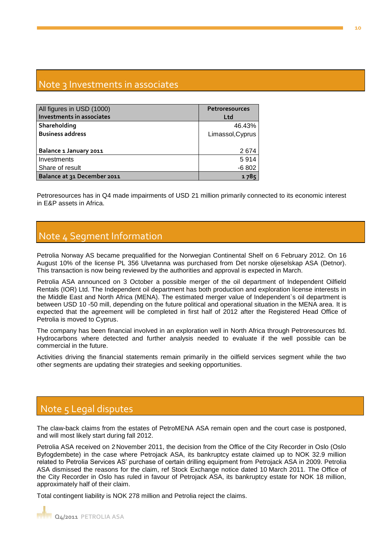# Note 3 Investments in associates

| All figures in USD (1000)   | <b>Petroresources</b> |  |
|-----------------------------|-----------------------|--|
| Investments in associates   | Ltd                   |  |
| Shareholding                | 46.43%                |  |
| <b>Business address</b>     | Limassol, Cyprus      |  |
|                             |                       |  |
| Balance 1 January 2011      | 2674                  |  |
| Investments                 | 5914                  |  |
| Share of result             | $-6802$               |  |
| Balance at 31 December 2011 | 1785                  |  |

Petroresources has in Q4 made impairments of USD 21 million primarily connected to its economic interest in E&P assets in Africa.

# Note 4 Segment Information

Petrolia Norway AS became prequalified for the Norwegian Continental Shelf on 6 February 2012. On 16 August 10% of the license PL 356 Ulvetanna was purchased from Det norske oljeselskap ASA (Detnor). This transaction is now being reviewed by the authorities and approval is expected in March.

Petrolia ASA announced on 3 October a possible merger of the oil department of Independent Oilfield Rentals (IOR) Ltd. The Independent oil department has both production and exploration license interests in the Middle East and North Africa (MENA). The estimated merger value of Independent`s oil department is between USD 10 -50 mill, depending on the future political and operational situation in the MENA area. It is expected that the agreement will be completed in first half of 2012 after the Registered Head Office of Petrolia is moved to Cyprus.

The company has been financial involved in an exploration well in North Africa through Petroresources ltd. Hydrocarbons where detected and further analysis needed to evaluate if the well possible can be commercial in the future.

Activities driving the financial statements remain primarily in the oilfield services segment while the two other segments are updating their strategies and seeking opportunities.

# Note 5 Legal disputes

The claw-back claims from the estates of PetroMENA ASA remain open and the court case is postponed, and will most likely start during fall 2012.

Petrolia ASA received on 2 November 2011, the decision from the Office of the City Recorder in Oslo (Oslo Byfogdembete) in the case where Petrojack ASA, its bankruptcy estate claimed up to NOK 32.9 million related to Petrolia Services AS' purchase of certain drilling equipment from Petrojack ASA in 2009. Petrolia ASA dismissed the reasons for the claim, ref Stock Exchange notice dated 10 March 2011. The Office of the City Recorder in Oslo has ruled in favour of Petrojack ASA, its bankruptcy estate for NOK 18 million, approximately half of their claim.

Total contingent liability is NOK 278 million and Petrolia reject the claims.